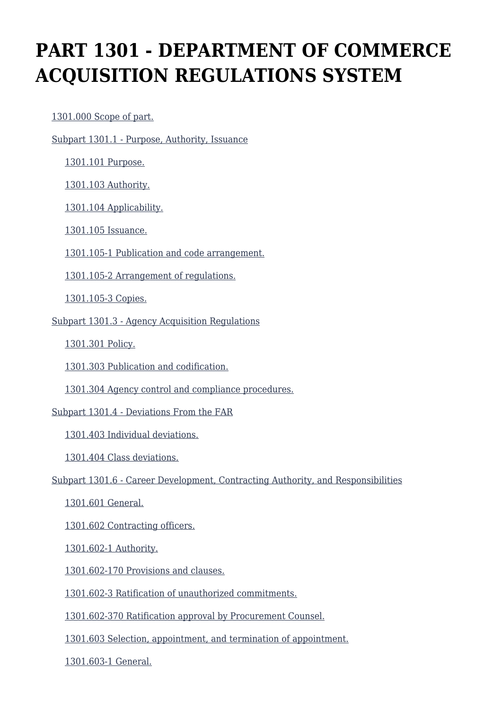# **PART 1301 - DEPARTMENT OF COMMERCE ACQUISITION REGULATIONS SYSTEM**

[1301.000 Scope of part.](https://login.acquisition.gov/%5Brp:link:car-part-1301%5D#Section_1301_000_T48_506432011)

[Subpart 1301.1 - Purpose, Authority, Issuance](https://login.acquisition.gov/%5Brp:link:car-part-1301%5D#Subpart_1301_1_T48_5064321)

[1301.101 Purpose.](https://login.acquisition.gov/%5Brp:link:car-part-1301%5D#Section_1301_101_T48_506432111)

[1301.103 Authority.](https://login.acquisition.gov/%5Brp:link:car-part-1301%5D#Section_1301_103_T48_506432112)

[1301.104 Applicability.](https://login.acquisition.gov/%5Brp:link:car-part-1301%5D#Section_1301_104_T48_506432113)

[1301.105 Issuance.](https://login.acquisition.gov/%5Brp:link:car-part-1301%5D#Section_1301_105_T48_506432114)

[1301.105-1 Publication and code arrangement.](https://login.acquisition.gov/%5Brp:link:car-part-1301%5D#Section_1301_105_1_T48_506432115)

[1301.105-2 Arrangement of regulations.](https://login.acquisition.gov/%5Brp:link:car-part-1301%5D#Section_1301_105_2_T48_506432116)

[1301.105-3 Copies.](https://login.acquisition.gov/%5Brp:link:car-part-1301%5D#Section_1301_105_3_T48_506432117)

[Subpart 1301.3 - Agency Acquisition Regulations](https://login.acquisition.gov/%5Brp:link:car-part-1301%5D#Subpart_1301_3_T48_5064322)

[1301.301 Policy.](https://login.acquisition.gov/%5Brp:link:car-part-1301%5D#Section_1301_301_T48_506432211)

[1301.303 Publication and codification.](https://login.acquisition.gov/%5Brp:link:car-part-1301%5D#Section_1301_303_T48_506432212)

[1301.304 Agency control and compliance procedures.](https://login.acquisition.gov/%5Brp:link:car-part-1301%5D#Section_1301_304_T48_506432213)

[Subpart 1301.4 - Deviations From the FAR](https://login.acquisition.gov/%5Brp:link:car-part-1301%5D#Subpart_1301_4_T48_5064323)

[1301.403 Individual deviations.](https://login.acquisition.gov/%5Brp:link:car-part-1301%5D#Section_1301_403_T48_506432311)

[1301.404 Class deviations.](https://login.acquisition.gov/%5Brp:link:car-part-1301%5D#Section_1301_404_T48_506432312)

[Subpart 1301.6 - Career Development, Contracting Authority, and Responsibilities](https://login.acquisition.gov/%5Brp:link:car-part-1301%5D#Subpart_1301_6_T48_5064324)

[1301.601 General.](https://login.acquisition.gov/%5Brp:link:car-part-1301%5D#Section_1301_601_T48_506432411)

[1301.602 Contracting officers.](https://login.acquisition.gov/%5Brp:link:car-part-1301%5D#Section_1301_602_T48_506432412)

[1301.602-1 Authority.](https://login.acquisition.gov/%5Brp:link:car-part-1301%5D#Section_1301_602_1_T48_506432413)

[1301.602-170 Provisions and clauses.](https://login.acquisition.gov/%5Brp:link:car-part-1301%5D#Section_1301_602_170_T48_506432414)

[1301.602-3 Ratification of unauthorized commitments.](https://login.acquisition.gov/%5Brp:link:car-part-1301%5D#Section_1301_602_3_T48_506432415)

[1301.602-370 Ratification approval by Procurement Counsel.](https://login.acquisition.gov/%5Brp:link:car-part-1301%5D#Section_1301_602_370_T48_506432416)

[1301.603 Selection, appointment, and termination of appointment.](https://login.acquisition.gov/%5Brp:link:car-part-1301%5D#Section_1301_603_T48_506432417)

[1301.603-1 General.](https://login.acquisition.gov/%5Brp:link:car-part-1301%5D#Section_1301_603_1_T48_506432418)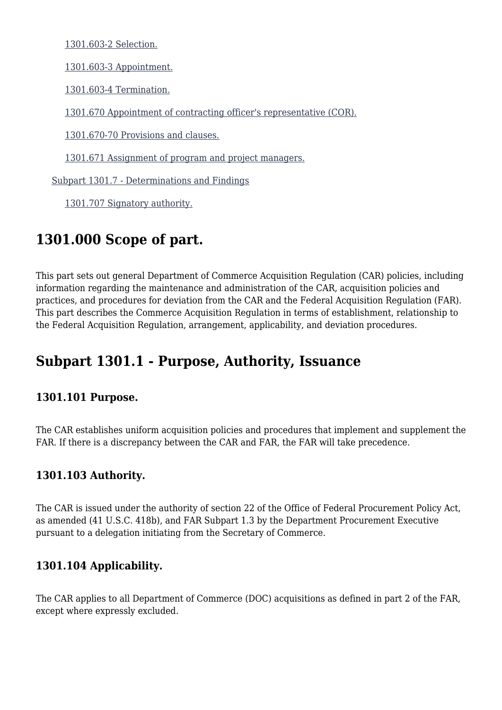[1301.603-2 Selection.](https://login.acquisition.gov/%5Brp:link:car-part-1301%5D#Section_1301_603_2_T48_506432419)

[1301.603-3 Appointment.](https://login.acquisition.gov/%5Brp:link:car-part-1301%5D#Section_1301_603_3_T48_5064324110)

[1301.603-4 Termination.](https://login.acquisition.gov/%5Brp:link:car-part-1301%5D#Section_1301_603_4_T48_5064324111)

[1301.670 Appointment of contracting officer's representative \(COR\).](https://login.acquisition.gov/%5Brp:link:car-part-1301%5D#Section_1301_670_T48_5064324112)

[1301.670-70 Provisions and clauses.](https://login.acquisition.gov/%5Brp:link:car-part-1301%5D#Section_1301_670_70_T48_5064324113)

[1301.671 Assignment of program and project managers.](https://login.acquisition.gov/%5Brp:link:car-part-1301%5D#Section_1301_671_T48_5064324114)

[Subpart 1301.7 - Determinations and Findings](https://login.acquisition.gov/%5Brp:link:car-part-1301%5D#Subpart_1301_7_T48_5064325)

[1301.707 Signatory authority.](https://login.acquisition.gov/%5Brp:link:car-part-1301%5D#Section_1301_707_T48_506432511)

# **1301.000 Scope of part.**

This part sets out general Department of Commerce Acquisition Regulation (CAR) policies, including information regarding the maintenance and administration of the CAR, acquisition policies and practices, and procedures for deviation from the CAR and the Federal Acquisition Regulation (FAR). This part describes the Commerce Acquisition Regulation in terms of establishment, relationship to the Federal Acquisition Regulation, arrangement, applicability, and deviation procedures.

# **Subpart 1301.1 - Purpose, Authority, Issuance**

#### **1301.101 Purpose.**

The CAR establishes uniform acquisition policies and procedures that implement and supplement the FAR. If there is a discrepancy between the CAR and FAR, the FAR will take precedence.

#### **1301.103 Authority.**

The CAR is issued under the authority of section 22 of the Office of Federal Procurement Policy Act, as amended (41 U.S.C. 418b), and FAR Subpart 1.3 by the Department Procurement Executive pursuant to a delegation initiating from the Secretary of Commerce.

### **1301.104 Applicability.**

The CAR applies to all Department of Commerce (DOC) acquisitions as defined in part 2 of the FAR, except where expressly excluded.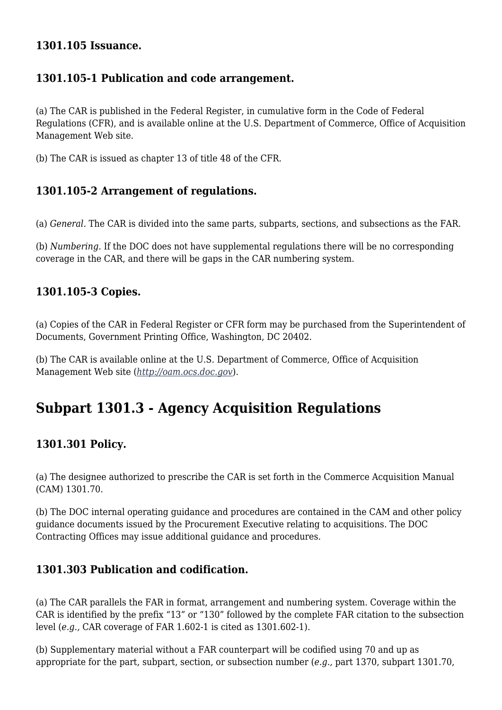#### **1301.105 Issuance.**

#### **1301.105-1 Publication and code arrangement.**

(a) The CAR is published in the Federal Register, in cumulative form in the Code of Federal Regulations (CFR), and is available online at the U.S. Department of Commerce, Office of Acquisition Management Web site.

(b) The CAR is issued as chapter 13 of title 48 of the CFR.

### **1301.105-2 Arrangement of regulations.**

(a) *General.* The CAR is divided into the same parts, subparts, sections, and subsections as the FAR.

(b) *Numbering.* If the DOC does not have supplemental regulations there will be no corresponding coverage in the CAR, and there will be gaps in the CAR numbering system.

#### **1301.105-3 Copies.**

(a) Copies of the CAR in Federal Register or CFR form may be purchased from the Superintendent of Documents, Government Printing Office, Washington, DC 20402.

(b) The CAR is available online at the U.S. Department of Commerce, Office of Acquisition Management Web site (*<http://oam.ocs.doc.gov>*).

# **Subpart 1301.3 - Agency Acquisition Regulations**

### **1301.301 Policy.**

(a) The designee authorized to prescribe the CAR is set forth in the Commerce Acquisition Manual (CAM) 1301.70.

(b) The DOC internal operating guidance and procedures are contained in the CAM and other policy guidance documents issued by the Procurement Executive relating to acquisitions. The DOC Contracting Offices may issue additional guidance and procedures.

### **1301.303 Publication and codification.**

(a) The CAR parallels the FAR in format, arrangement and numbering system. Coverage within the CAR is identified by the prefix "13" or "130" followed by the complete FAR citation to the subsection level (*e.g.,* CAR coverage of FAR 1.602-1 is cited as 1301.602-1).

(b) Supplementary material without a FAR counterpart will be codified using 70 and up as appropriate for the part, subpart, section, or subsection number (*e.g.,* part 1370, subpart 1301.70,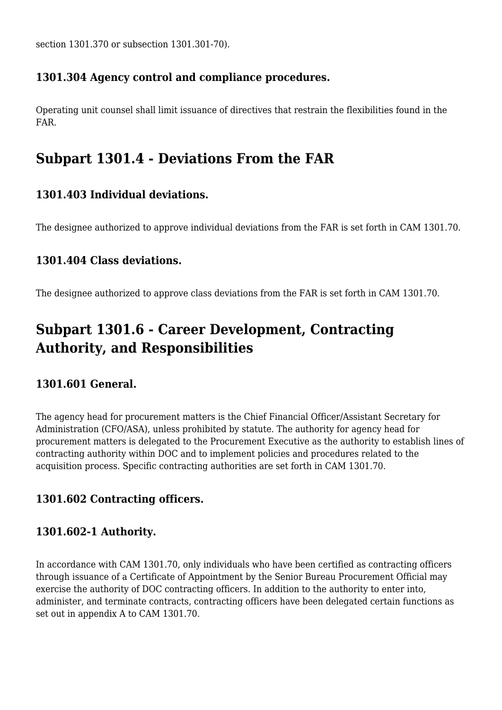section 1301.370 or subsection 1301.301-70).

## **1301.304 Agency control and compliance procedures.**

Operating unit counsel shall limit issuance of directives that restrain the flexibilities found in the FAR.

# **Subpart 1301.4 - Deviations From the FAR**

# **1301.403 Individual deviations.**

The designee authorized to approve individual deviations from the FAR is set forth in CAM 1301.70.

### **1301.404 Class deviations.**

The designee authorized to approve class deviations from the FAR is set forth in CAM 1301.70.

# **Subpart 1301.6 - Career Development, Contracting Authority, and Responsibilities**

### **1301.601 General.**

The agency head for procurement matters is the Chief Financial Officer/Assistant Secretary for Administration (CFO/ASA), unless prohibited by statute. The authority for agency head for procurement matters is delegated to the Procurement Executive as the authority to establish lines of contracting authority within DOC and to implement policies and procedures related to the acquisition process. Specific contracting authorities are set forth in CAM 1301.70.

### **1301.602 Contracting officers.**

### **1301.602-1 Authority.**

In accordance with CAM 1301.70, only individuals who have been certified as contracting officers through issuance of a Certificate of Appointment by the Senior Bureau Procurement Official may exercise the authority of DOC contracting officers. In addition to the authority to enter into, administer, and terminate contracts, contracting officers have been delegated certain functions as set out in appendix A to CAM 1301.70.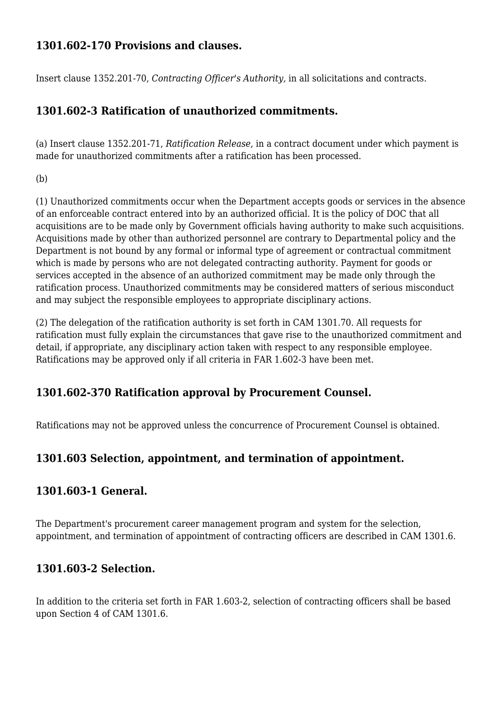## **1301.602-170 Provisions and clauses.**

Insert clause 1352.201-70, *Contracting Officer's Authority,* in all solicitations and contracts.

# **1301.602-3 Ratification of unauthorized commitments.**

(a) Insert clause 1352.201-71, *Ratification Release,* in a contract document under which payment is made for unauthorized commitments after a ratification has been processed.

(b)

(1) Unauthorized commitments occur when the Department accepts goods or services in the absence of an enforceable contract entered into by an authorized official. It is the policy of DOC that all acquisitions are to be made only by Government officials having authority to make such acquisitions. Acquisitions made by other than authorized personnel are contrary to Departmental policy and the Department is not bound by any formal or informal type of agreement or contractual commitment which is made by persons who are not delegated contracting authority. Payment for goods or services accepted in the absence of an authorized commitment may be made only through the ratification process. Unauthorized commitments may be considered matters of serious misconduct and may subject the responsible employees to appropriate disciplinary actions.

(2) The delegation of the ratification authority is set forth in CAM 1301.70. All requests for ratification must fully explain the circumstances that gave rise to the unauthorized commitment and detail, if appropriate, any disciplinary action taken with respect to any responsible employee. Ratifications may be approved only if all criteria in FAR 1.602-3 have been met.

### **1301.602-370 Ratification approval by Procurement Counsel.**

Ratifications may not be approved unless the concurrence of Procurement Counsel is obtained.

### **1301.603 Selection, appointment, and termination of appointment.**

#### **1301.603-1 General.**

The Department's procurement career management program and system for the selection, appointment, and termination of appointment of contracting officers are described in CAM 1301.6.

### **1301.603-2 Selection.**

In addition to the criteria set forth in FAR 1.603-2, selection of contracting officers shall be based upon Section 4 of CAM 1301.6.